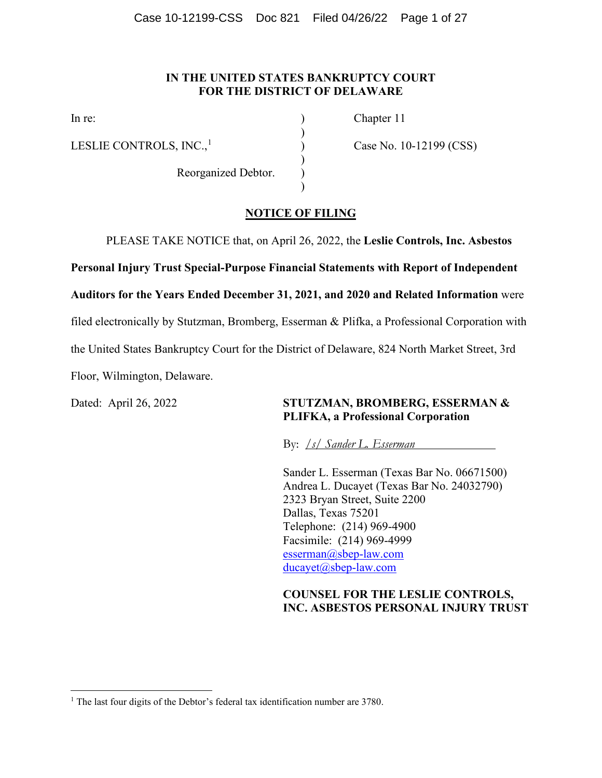#### **IN THE UNITED STATES BANKRUPTCY COURT FOR THE DISTRICT OF DELAWARE**

)

)

)

LESLIE CONTROLS,  $INC<sub>1</sub><sup>1</sup>$  $INC<sub>1</sub><sup>1</sup>$  $INC<sub>1</sub><sup>1</sup>$  (Case No. 10-12199 (CSS)

Reorganized Debtor. )

In re: Chapter 11

#### **NOTICE OF FILING**

PLEASE TAKE NOTICE that, on April 26, 2022, the **Leslie Controls, Inc. Asbestos** 

**Personal Injury Trust Special-Purpose Financial Statements with Report of Independent** 

**Auditors for the Years Ended December 31, 2021, and 2020 and Related Information** were

filed electronically by Stutzman, Bromberg, Esserman & Plifka, a Professional Corporation with

the United States Bankruptcy Court for the District of Delaware, 824 North Market Street, 3rd

Floor, Wilmington, Delaware.

#### Dated: April 26, 2022 **STUTZMAN, BROMBERG, ESSERMAN & PLIFKA, a Professional Corporation**

By: */s/ Sander L. Esserman*

Sander L. Esserman (Texas Bar No. 06671500) Andrea L. Ducayet (Texas Bar No. 24032790) 2323 Bryan Street, Suite 2200 Dallas, Texas 75201 Telephone: (214) 969-4900 Facsimile: (214) 969-4999 [esserman@sbep-law.com](mailto:esserman@sbep-law.com) [ducayet@sbep-law.com](mailto:ducayet@sbep-law.com)

#### **COUNSEL FOR THE LESLIE CONTROLS, INC. ASBESTOS PERSONAL INJURY TRUST**

<span id="page-0-0"></span><sup>&</sup>lt;sup>1</sup> The last four digits of the Debtor's federal tax identification number are 3780.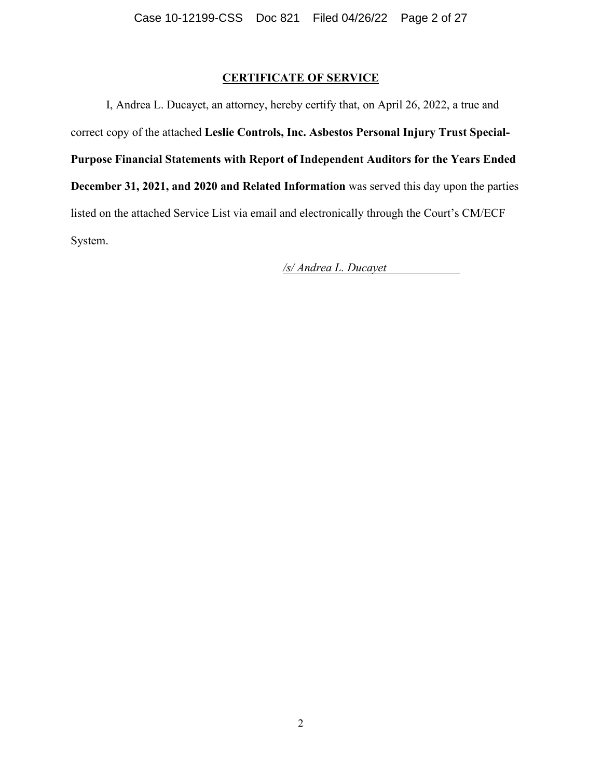#### **CERTIFICATE OF SERVICE**

I, Andrea L. Ducayet, an attorney, hereby certify that, on April 26, 2022, a true and correct copy of the attached **Leslie Controls, Inc. Asbestos Personal Injury Trust Special-Purpose Financial Statements with Report of Independent Auditors for the Years Ended December 31, 2021, and 2020 and Related Information** was served this day upon the parties listed on the attached Service List via email and electronically through the Court's CM/ECF System.

*/s/ Andrea L. Ducayet*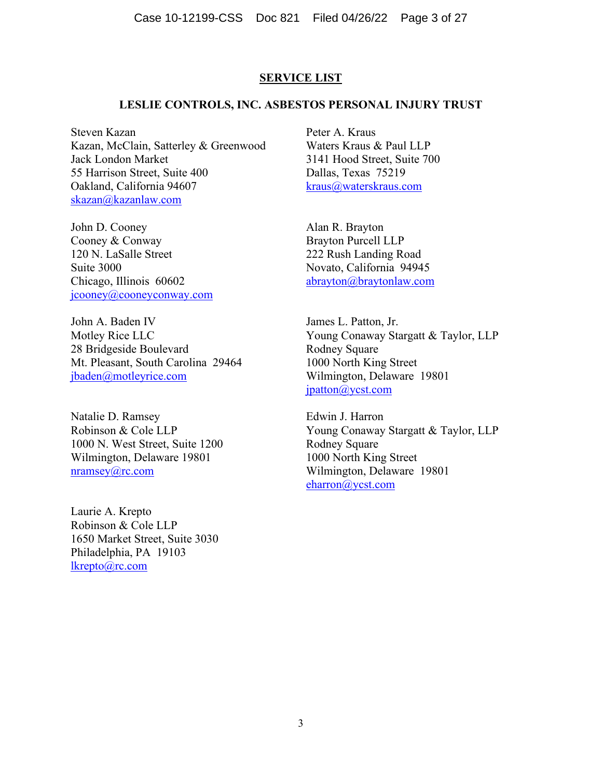#### **SERVICE LIST**

#### **LESLIE CONTROLS, INC. ASBESTOS PERSONAL INJURY TRUST**

Steven Kazan Kazan, McClain, Satterley & Greenwood Jack London Market 55 Harrison Street, Suite 400 Oakland, California 94607 [skazan@kazanlaw.com](mailto:skazan@kazanlaw.com)

John D. Cooney Cooney & Conway 120 N. LaSalle Street Suite 3000 Chicago, Illinois 60602 [jcooney@cooneyconway.com](mailto:jcooney@cooneyconway.com)

John A. Baden IV Motley Rice LLC 28 Bridgeside Boulevard Mt. Pleasant, South Carolina 29464 [jbaden@motleyrice.com](mailto:jbaden@motleyrice.com)

Natalie D. Ramsey Robinson & Cole LLP 1000 N. West Street, Suite 1200 Wilmington, Delaware 19801 [nramsey@rc.com](mailto:nramsey@rc.com)

Laurie A. Krepto Robinson & Cole LLP 1650 Market Street, Suite 3030 Philadelphia, PA 19103 [lkrepto@rc.com](mailto:lkrepto@rc.com)

Peter A. Kraus Waters Kraus & Paul LLP 3141 Hood Street, Suite 700 Dallas, Texas 75219 [kraus@waterskraus.com](mailto:kraus@waterskraus.com)

Alan R. Brayton Brayton Purcell LLP 222 Rush Landing Road Novato, California 94945 [abrayton@braytonlaw.com](mailto:abrayton@braytonlaw.com)

James L. Patton, Jr. Young Conaway Stargatt & Taylor, LLP Rodney Square 1000 North King Street Wilmington, Delaware 19801 [jpatton@ycst.com](mailto:jpatton@ycst.com)

Edwin J. Harron Young Conaway Stargatt & Taylor, LLP Rodney Square 1000 North King Street Wilmington, Delaware 19801 [eharron@ycst.com](mailto:eharron@ycst.com)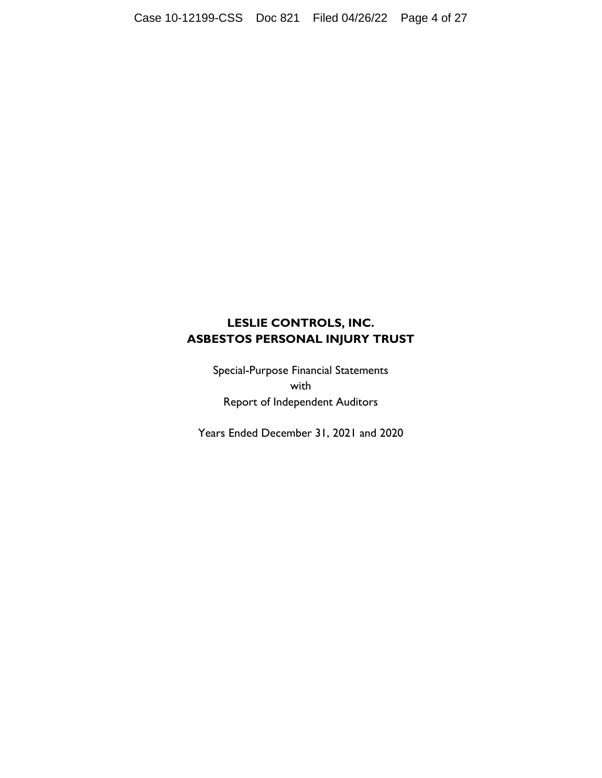Special-Purpose Financial Statements with Report of Independent Auditors

Years Ended December 31, 2021 and 2020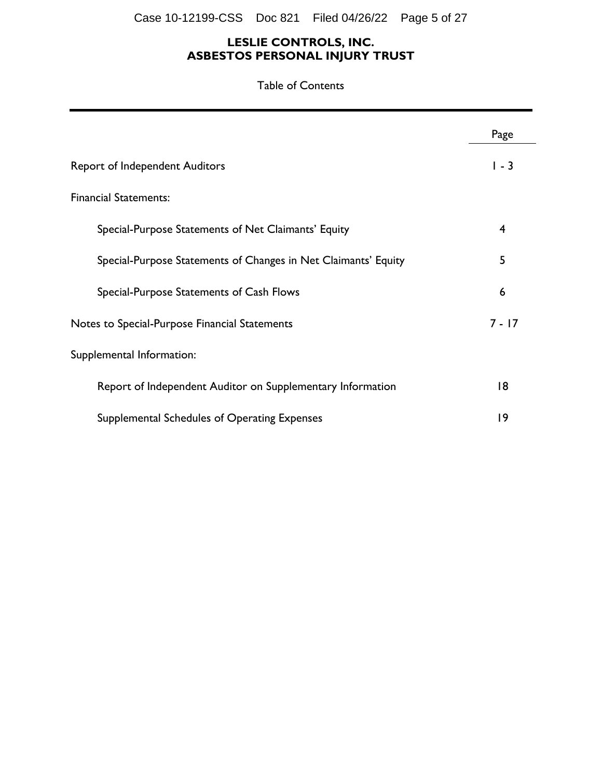Case 10-12199-CSS Doc 821 Filed 04/26/22 Page 5 of 27

#### **LESLIE CONTROLS, INC. ASBESTOS PERSONAL INJURY TRUST**

Table of Contents

|                                                                | Page     |
|----------------------------------------------------------------|----------|
| <b>Report of Independent Auditors</b>                          | $1 - 3$  |
| <b>Financial Statements:</b>                                   |          |
| Special-Purpose Statements of Net Claimants' Equity            | 4        |
| Special-Purpose Statements of Changes in Net Claimants' Equity | 5        |
| Special-Purpose Statements of Cash Flows                       | 6        |
| Notes to Special-Purpose Financial Statements                  | $7 - 17$ |
| Supplemental Information:                                      |          |
| Report of Independent Auditor on Supplementary Information     | 18       |
| Supplemental Schedules of Operating Expenses                   | 19       |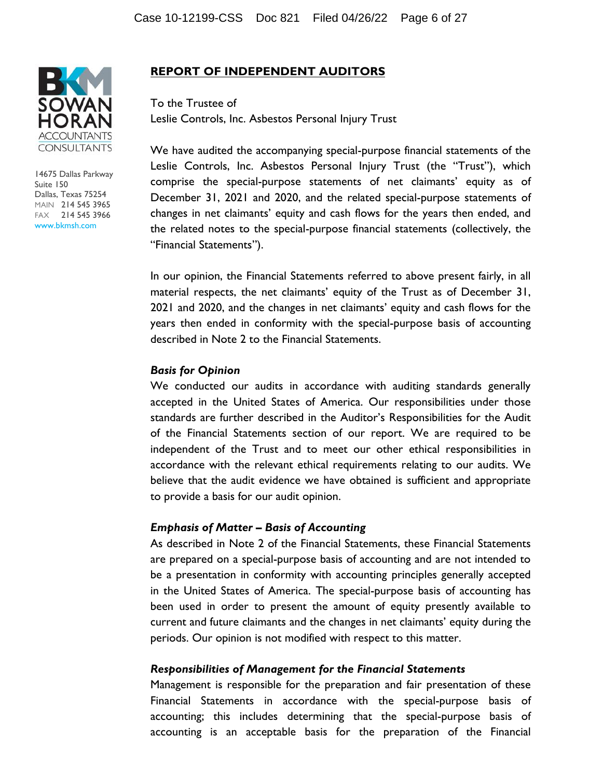

14675 Dallas Parkway Suite 150 Dallas, Texas 75254 MAIN 214 545 3965 FAX 214 545 3966 www.bkmsh.com

#### **REPORT OF INDEPENDENT AUDITORS**

To the Trustee of Leslie Controls, Inc. Asbestos Personal Injury Trust

We have audited the accompanying special-purpose financial statements of the Leslie Controls, Inc. Asbestos Personal Injury Trust (the "Trust"), which comprise the special-purpose statements of net claimants' equity as of December 31, 2021 and 2020, and the related special-purpose statements of changes in net claimants' equity and cash flows for the years then ended, and the related notes to the special-purpose financial statements (collectively, the "Financial Statements").

In our opinion, the Financial Statements referred to above present fairly, in all material respects, the net claimants' equity of the Trust as of December 31, 2021 and 2020, and the changes in net claimants' equity and cash flows for the years then ended in conformity with the special-purpose basis of accounting described in Note 2 to the Financial Statements.

#### *Basis for Opinion*

We conducted our audits in accordance with auditing standards generally accepted in the United States of America. Our responsibilities under those standards are further described in the Auditor's Responsibilities for the Audit of the Financial Statements section of our report. We are required to be independent of the Trust and to meet our other ethical responsibilities in accordance with the relevant ethical requirements relating to our audits. We believe that the audit evidence we have obtained is sufficient and appropriate to provide a basis for our audit opinion.

#### *Emphasis of Matter – Basis of Accounting*

As described in Note 2 of the Financial Statements, these Financial Statements are prepared on a special-purpose basis of accounting and are not intended to be a presentation in conformity with accounting principles generally accepted in the United States of America. The special-purpose basis of accounting has been used in order to present the amount of equity presently available to current and future claimants and the changes in net claimants' equity during the periods. Our opinion is not modified with respect to this matter.

#### *Responsibilities of Management for the Financial Statements*

Management is responsible for the preparation and fair presentation of these Financial Statements in accordance with the special-purpose basis of accounting; this includes determining that the special-purpose basis of accounting is an acceptable basis for the preparation of the Financial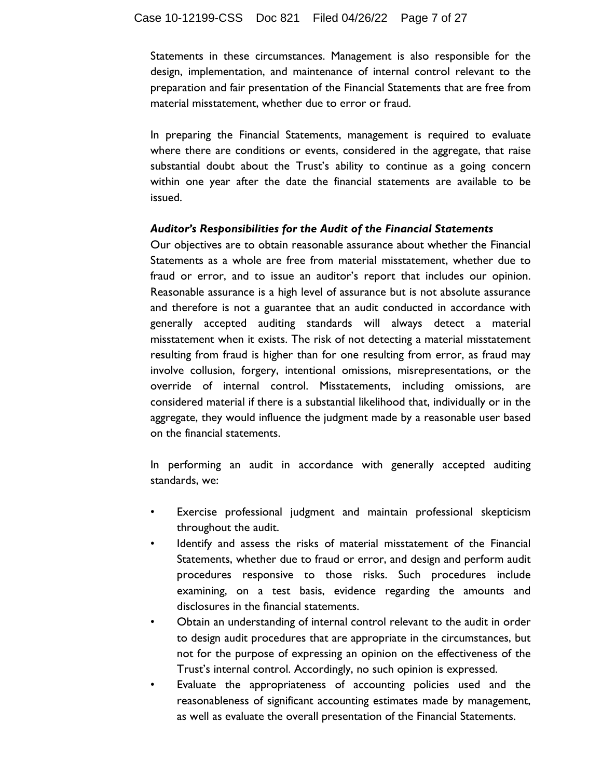Statements in these circumstances. Management is also responsible for the design, implementation, and maintenance of internal control relevant to the preparation and fair presentation of the Financial Statements that are free from material misstatement, whether due to error or fraud.

In preparing the Financial Statements, management is required to evaluate where there are conditions or events, considered in the aggregate, that raise substantial doubt about the Trust's ability to continue as a going concern within one year after the date the financial statements are available to be issued.

#### *Auditor's Responsibilities for the Audit of the Financial Statements*

Our objectives are to obtain reasonable assurance about whether the Financial Statements as a whole are free from material misstatement, whether due to fraud or error, and to issue an auditor's report that includes our opinion. Reasonable assurance is a high level of assurance but is not absolute assurance and therefore is not a guarantee that an audit conducted in accordance with generally accepted auditing standards will always detect a material misstatement when it exists. The risk of not detecting a material misstatement resulting from fraud is higher than for one resulting from error, as fraud may involve collusion, forgery, intentional omissions, misrepresentations, or the override of internal control. Misstatements, including omissions, are considered material if there is a substantial likelihood that, individually or in the aggregate, they would influence the judgment made by a reasonable user based on the financial statements.

In performing an audit in accordance with generally accepted auditing standards, we:

- Exercise professional judgment and maintain professional skepticism throughout the audit.
- Identify and assess the risks of material misstatement of the Financial Statements, whether due to fraud or error, and design and perform audit procedures responsive to those risks. Such procedures include examining, on a test basis, evidence regarding the amounts and disclosures in the financial statements.
- Obtain an understanding of internal control relevant to the audit in order to design audit procedures that are appropriate in the circumstances, but not for the purpose of expressing an opinion on the effectiveness of the Trust's internal control. Accordingly, no such opinion is expressed.
- Evaluate the appropriateness of accounting policies used and the reasonableness of significant accounting estimates made by management, as well as evaluate the overall presentation of the Financial Statements.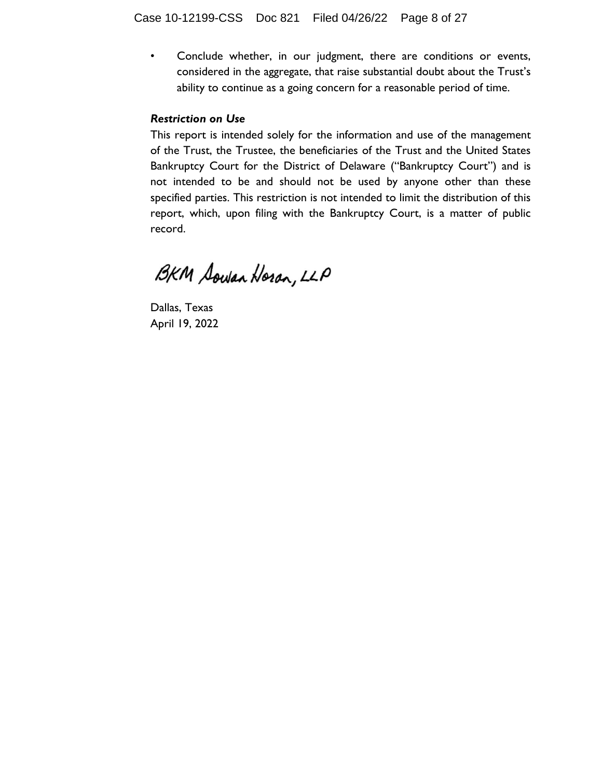• Conclude whether, in our judgment, there are conditions or events, considered in the aggregate, that raise substantial doubt about the Trust's ability to continue as a going concern for a reasonable period of time.

#### *Restriction on Use*

This report is intended solely for the information and use of the management of the Trust, the Trustee, the beneficiaries of the Trust and the United States Bankruptcy Court for the District of Delaware ("Bankruptcy Court") and is not intended to be and should not be used by anyone other than these specified parties. This restriction is not intended to limit the distribution of this report, which, upon filing with the Bankruptcy Court, is a matter of public record.

BKM Sowan Horan, LLP

Dallas, Texas April 19, 2022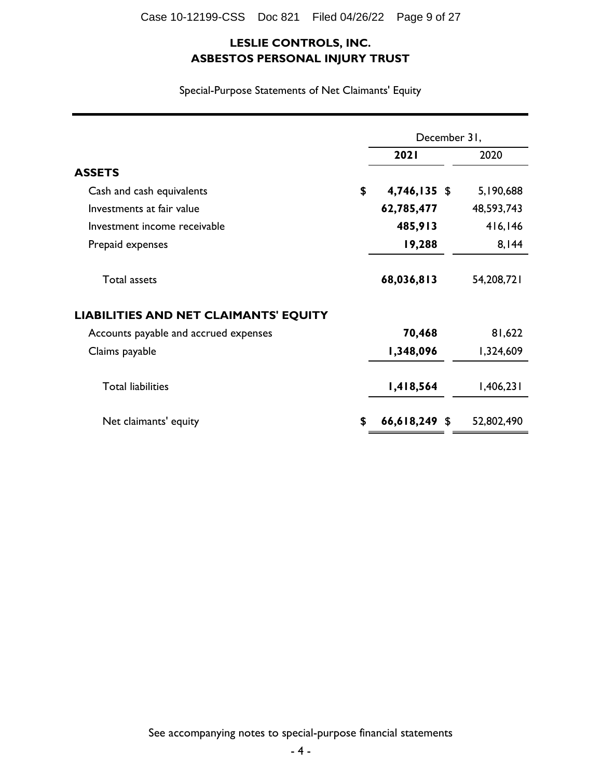Special-Purpose Statements of Net Claimants' Equity

|                                              | December 31,          |            |
|----------------------------------------------|-----------------------|------------|
|                                              | 2021                  | 2020       |
| <b>ASSETS</b>                                |                       |            |
| Cash and cash equivalents                    | \$<br>4,746,135 \$    | 5,190,688  |
| Investments at fair value                    | 62,785,477            | 48,593,743 |
| Investment income receivable                 | 485,913               | 416,146    |
| Prepaid expenses                             | 19,288                | 8,144      |
| <b>Total assets</b>                          | 68,036,813            | 54,208,721 |
| <b>LIABILITIES AND NET CLAIMANTS' EQUITY</b> |                       |            |
| Accounts payable and accrued expenses        | 70,468                | 81,622     |
| Claims payable                               | 1,348,096             | 1,324,609  |
| <b>Total liabilities</b>                     | 1,418,564             | 1,406,231  |
| Net claimants' equity                        | \$<br>$66,618,249$ \$ | 52,802,490 |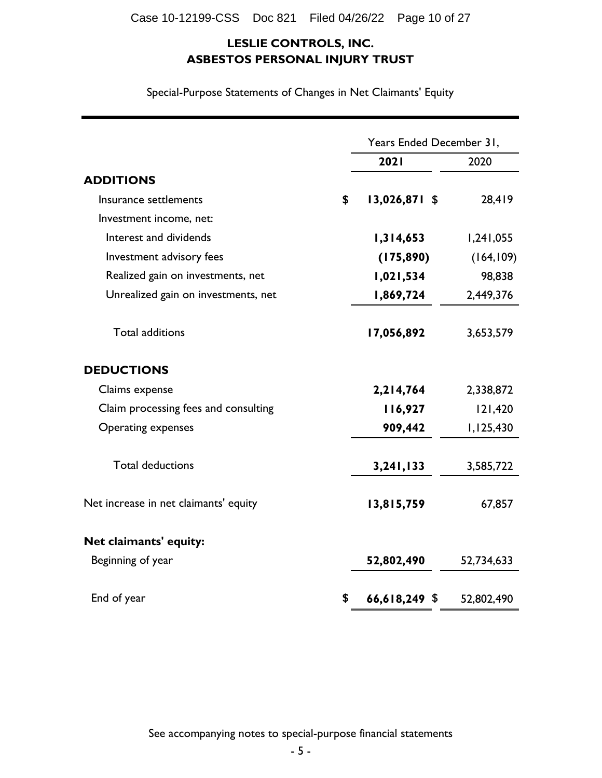**2021** 2020 **ADDITIONS** Insurance settlements **\$ 13,026,871** \$ 28,419 Investment income, net: **Interest and dividends 1,314,653** 1,241,055 Investment advisory fees **(175,890)** (164,109) Realized gain on investments, net 1,021,534 98,838 Unrealized gain on investments, net 1,869,724 2,449,376 Total additions **17,056,892** 3,653,579 **DEDUCTIONS** Claims expense **2,214,764** 2,338,872 Claim processing fees and consulting **116,927** 121,420 Operating expenses **909,442** 1,125,430 Total deductions **3,241,133** 3,585,722 Net increase in net claimants' equity<br>
13,815,759 67,857 **Net claimants' equity:** Beginning of year **52,802,490** 52,734,633 End of year **52,802,490 \$ 66,618,249** \$ 52,802,490 Years Ended December 31,

Special-Purpose Statements of Changes in Net Claimants' Equity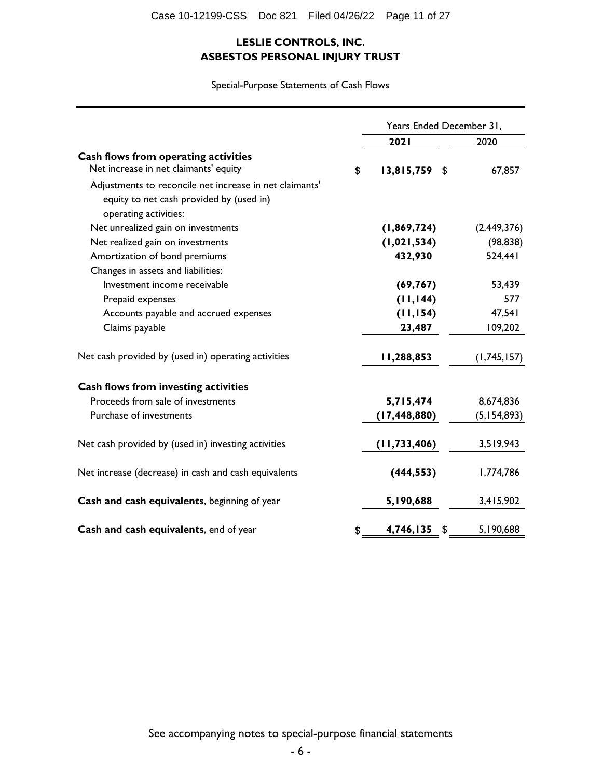Special-Purpose Statements of Cash Flows

|                                                         |    | Years Ended December 31, |    |               |
|---------------------------------------------------------|----|--------------------------|----|---------------|
|                                                         |    | 2021                     |    | 2020          |
| Cash flows from operating activities                    |    |                          |    |               |
| Net increase in net claimants' equity                   | \$ | $13,815,759$ \$          |    | 67,857        |
| Adjustments to reconcile net increase in net claimants' |    |                          |    |               |
| equity to net cash provided by (used in)                |    |                          |    |               |
| operating activities:                                   |    |                          |    |               |
| Net unrealized gain on investments                      |    | (1,869,724)              |    | (2,449,376)   |
| Net realized gain on investments                        |    | (1, 021, 534)            |    | (98, 838)     |
| Amortization of bond premiums                           |    | 432,930                  |    | 524,441       |
| Changes in assets and liabilities:                      |    |                          |    |               |
| Investment income receivable                            |    | (69, 767)                |    | 53,439        |
| Prepaid expenses                                        |    | (11, 144)                |    | 577           |
| Accounts payable and accrued expenses                   |    | (11, 154)                |    | 47,541        |
| Claims payable                                          |    | 23,487                   |    | 109,202       |
| Net cash provided by (used in) operating activities     |    | 11,288,853               |    | (1,745,157)   |
| <b>Cash flows from investing activities</b>             |    |                          |    |               |
| Proceeds from sale of investments                       |    | 5,715,474                |    | 8,674,836     |
| Purchase of investments                                 |    | (17, 448, 880)           |    | (5, 154, 893) |
| Net cash provided by (used in) investing activities     |    | (11, 733, 406)           |    | 3,519,943     |
| Net increase (decrease) in cash and cash equivalents    |    | (444, 553)               |    | 1,774,786     |
| Cash and cash equivalents, beginning of year            |    | 5,190,688                |    | 3,415,902     |
| Cash and cash equivalents, end of year                  | \$ | 4,746,135                | \$ | 5,190,688     |

See accompanying notes to special-purpose financial statements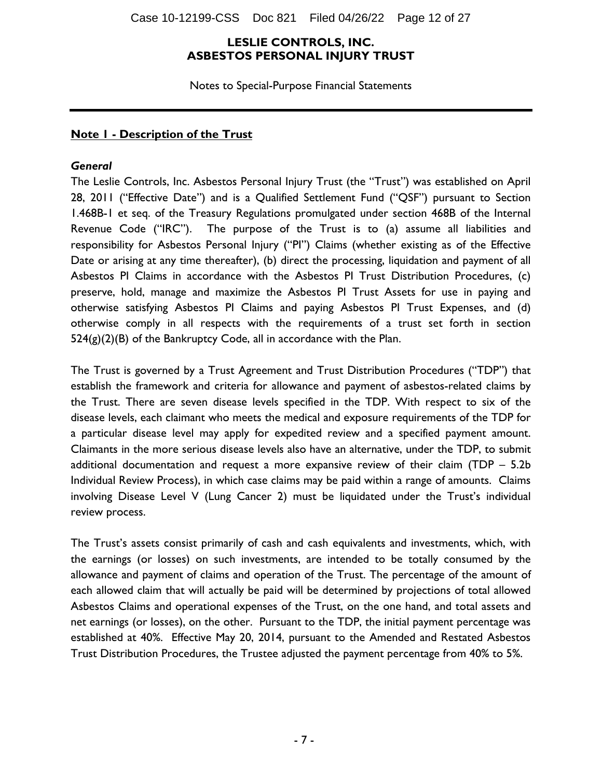Case 10-12199-CSS Doc 821 Filed 04/26/22 Page 12 of 27

#### **LESLIE CONTROLS, INC. ASBESTOS PERSONAL INJURY TRUST**

Notes to Special-Purpose Financial Statements

#### **Note 1 - Description of the Trust**

#### *General*

The Leslie Controls, Inc. Asbestos Personal Injury Trust (the "Trust") was established on April 28, 2011 ("Effective Date") and is a Qualified Settlement Fund ("QSF") pursuant to Section 1.468B-1 et seq. of the Treasury Regulations promulgated under section 468B of the Internal Revenue Code ("IRC"). The purpose of the Trust is to (a) assume all liabilities and responsibility for Asbestos Personal Injury ("PI") Claims (whether existing as of the Effective Date or arising at any time thereafter), (b) direct the processing, liquidation and payment of all Asbestos PI Claims in accordance with the Asbestos PI Trust Distribution Procedures, (c) preserve, hold, manage and maximize the Asbestos PI Trust Assets for use in paying and otherwise satisfying Asbestos PI Claims and paying Asbestos PI Trust Expenses, and (d) otherwise comply in all respects with the requirements of a trust set forth in section  $524(g)(2)(B)$  of the Bankruptcy Code, all in accordance with the Plan.

The Trust is governed by a Trust Agreement and Trust Distribution Procedures ("TDP") that establish the framework and criteria for allowance and payment of asbestos-related claims by the Trust. There are seven disease levels specified in the TDP. With respect to six of the disease levels, each claimant who meets the medical and exposure requirements of the TDP for a particular disease level may apply for expedited review and a specified payment amount. Claimants in the more serious disease levels also have an alternative, under the TDP, to submit additional documentation and request a more expansive review of their claim (TDP – 5.2b Individual Review Process), in which case claims may be paid within a range of amounts. Claims involving Disease Level V (Lung Cancer 2) must be liquidated under the Trust's individual review process.

The Trust's assets consist primarily of cash and cash equivalents and investments, which, with the earnings (or losses) on such investments, are intended to be totally consumed by the allowance and payment of claims and operation of the Trust. The percentage of the amount of each allowed claim that will actually be paid will be determined by projections of total allowed Asbestos Claims and operational expenses of the Trust, on the one hand, and total assets and net earnings (or losses), on the other. Pursuant to the TDP, the initial payment percentage was established at 40%. Effective May 20, 2014, pursuant to the Amended and Restated Asbestos Trust Distribution Procedures, the Trustee adjusted the payment percentage from 40% to 5%.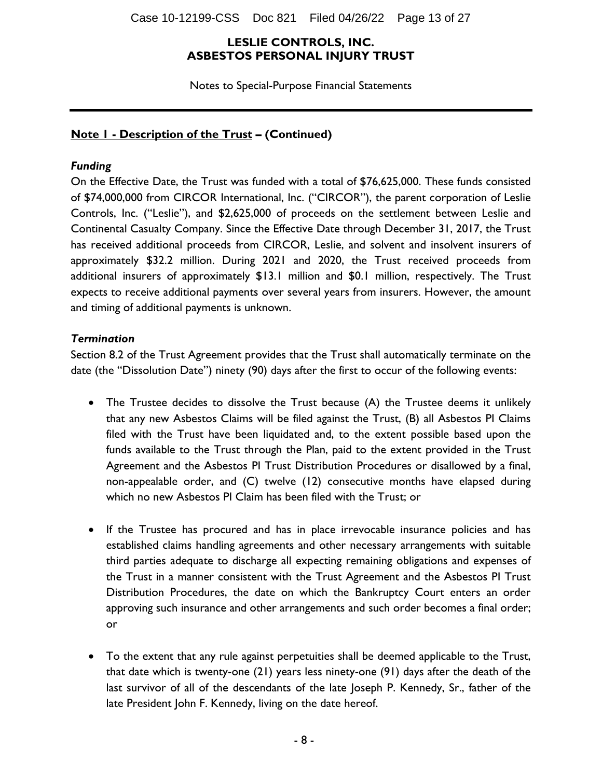Case 10-12199-CSS Doc 821 Filed 04/26/22 Page 13 of 27

#### **LESLIE CONTROLS, INC. ASBESTOS PERSONAL INJURY TRUST**

Notes to Special-Purpose Financial Statements

## **Note 1 - Description of the Trust – (Continued)**

#### *Funding*

On the Effective Date, the Trust was funded with a total of \$76,625,000. These funds consisted of \$74,000,000 from CIRCOR International, Inc. ("CIRCOR"), the parent corporation of Leslie Controls, Inc. ("Leslie"), and \$2,625,000 of proceeds on the settlement between Leslie and Continental Casualty Company. Since the Effective Date through December 31, 2017, the Trust has received additional proceeds from CIRCOR, Leslie, and solvent and insolvent insurers of approximately \$32.2 million. During 2021 and 2020, the Trust received proceeds from additional insurers of approximately \$13.1 million and \$0.1 million, respectively. The Trust expects to receive additional payments over several years from insurers. However, the amount and timing of additional payments is unknown.

#### *Termination*

Section 8.2 of the Trust Agreement provides that the Trust shall automatically terminate on the date (the "Dissolution Date") ninety (90) days after the first to occur of the following events:

- The Trustee decides to dissolve the Trust because (A) the Trustee deems it unlikely that any new Asbestos Claims will be filed against the Trust, (B) all Asbestos PI Claims filed with the Trust have been liquidated and, to the extent possible based upon the funds available to the Trust through the Plan, paid to the extent provided in the Trust Agreement and the Asbestos PI Trust Distribution Procedures or disallowed by a final, non-appealable order, and (C) twelve (12) consecutive months have elapsed during which no new Asbestos PI Claim has been filed with the Trust; or
- If the Trustee has procured and has in place irrevocable insurance policies and has established claims handling agreements and other necessary arrangements with suitable third parties adequate to discharge all expecting remaining obligations and expenses of the Trust in a manner consistent with the Trust Agreement and the Asbestos PI Trust Distribution Procedures, the date on which the Bankruptcy Court enters an order approving such insurance and other arrangements and such order becomes a final order; or
- To the extent that any rule against perpetuities shall be deemed applicable to the Trust, that date which is twenty-one (21) years less ninety-one (91) days after the death of the last survivor of all of the descendants of the late Joseph P. Kennedy, Sr., father of the late President John F. Kennedy, living on the date hereof.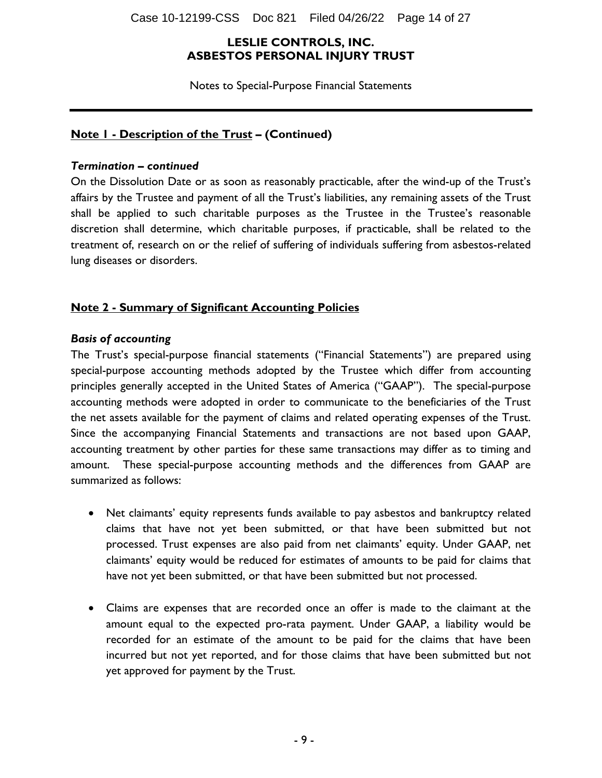Case 10-12199-CSS Doc 821 Filed 04/26/22 Page 14 of 27

#### **LESLIE CONTROLS, INC. ASBESTOS PERSONAL INJURY TRUST**

Notes to Special-Purpose Financial Statements

#### **Note 1 - Description of the Trust – (Continued)**

#### *Termination – continued*

On the Dissolution Date or as soon as reasonably practicable, after the wind-up of the Trust's affairs by the Trustee and payment of all the Trust's liabilities, any remaining assets of the Trust shall be applied to such charitable purposes as the Trustee in the Trustee's reasonable discretion shall determine, which charitable purposes, if practicable, shall be related to the treatment of, research on or the relief of suffering of individuals suffering from asbestos-related lung diseases or disorders.

## **Note 2 - Summary of Significant Accounting Policies**

#### *Basis of accounting*

The Trust's special-purpose financial statements ("Financial Statements") are prepared using special-purpose accounting methods adopted by the Trustee which differ from accounting principles generally accepted in the United States of America ("GAAP"). The special-purpose accounting methods were adopted in order to communicate to the beneficiaries of the Trust the net assets available for the payment of claims and related operating expenses of the Trust. Since the accompanying Financial Statements and transactions are not based upon GAAP, accounting treatment by other parties for these same transactions may differ as to timing and amount. These special-purpose accounting methods and the differences from GAAP are summarized as follows:

- Net claimants' equity represents funds available to pay asbestos and bankruptcy related claims that have not yet been submitted, or that have been submitted but not processed. Trust expenses are also paid from net claimants' equity. Under GAAP, net claimants' equity would be reduced for estimates of amounts to be paid for claims that have not yet been submitted, or that have been submitted but not processed.
- Claims are expenses that are recorded once an offer is made to the claimant at the amount equal to the expected pro-rata payment. Under GAAP, a liability would be recorded for an estimate of the amount to be paid for the claims that have been incurred but not yet reported, and for those claims that have been submitted but not yet approved for payment by the Trust.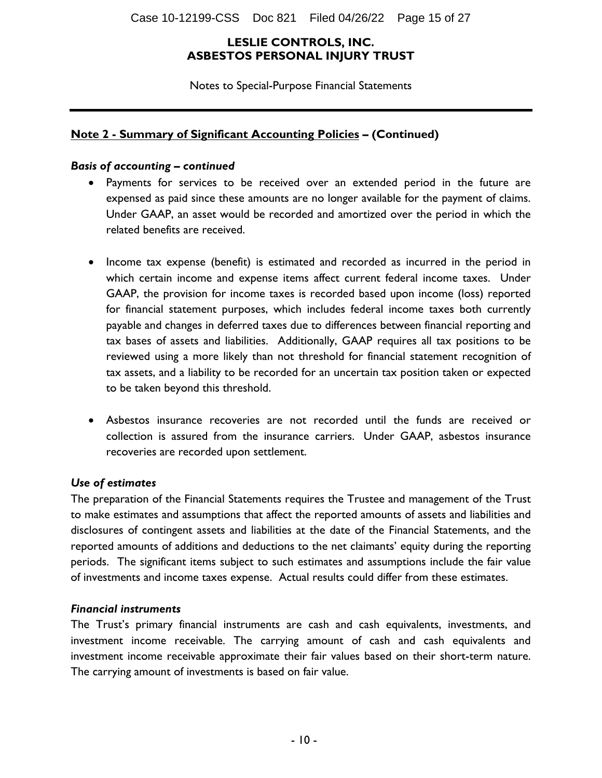Notes to Special-Purpose Financial Statements

#### **Note 2 - Summary of Significant Accounting Policies – (Continued)**

#### *Basis of accounting – continued*

- Payments for services to be received over an extended period in the future are expensed as paid since these amounts are no longer available for the payment of claims. Under GAAP, an asset would be recorded and amortized over the period in which the related benefits are received.
- Income tax expense (benefit) is estimated and recorded as incurred in the period in which certain income and expense items affect current federal income taxes. Under GAAP, the provision for income taxes is recorded based upon income (loss) reported for financial statement purposes, which includes federal income taxes both currently payable and changes in deferred taxes due to differences between financial reporting and tax bases of assets and liabilities. Additionally, GAAP requires all tax positions to be reviewed using a more likely than not threshold for financial statement recognition of tax assets, and a liability to be recorded for an uncertain tax position taken or expected to be taken beyond this threshold.
- Asbestos insurance recoveries are not recorded until the funds are received or collection is assured from the insurance carriers. Under GAAP, asbestos insurance recoveries are recorded upon settlement.

#### *Use of estimates*

The preparation of the Financial Statements requires the Trustee and management of the Trust to make estimates and assumptions that affect the reported amounts of assets and liabilities and disclosures of contingent assets and liabilities at the date of the Financial Statements, and the reported amounts of additions and deductions to the net claimants' equity during the reporting periods. The significant items subject to such estimates and assumptions include the fair value of investments and income taxes expense. Actual results could differ from these estimates.

#### *Financial instruments*

The Trust's primary financial instruments are cash and cash equivalents, investments, and investment income receivable. The carrying amount of cash and cash equivalents and investment income receivable approximate their fair values based on their short-term nature. The carrying amount of investments is based on fair value.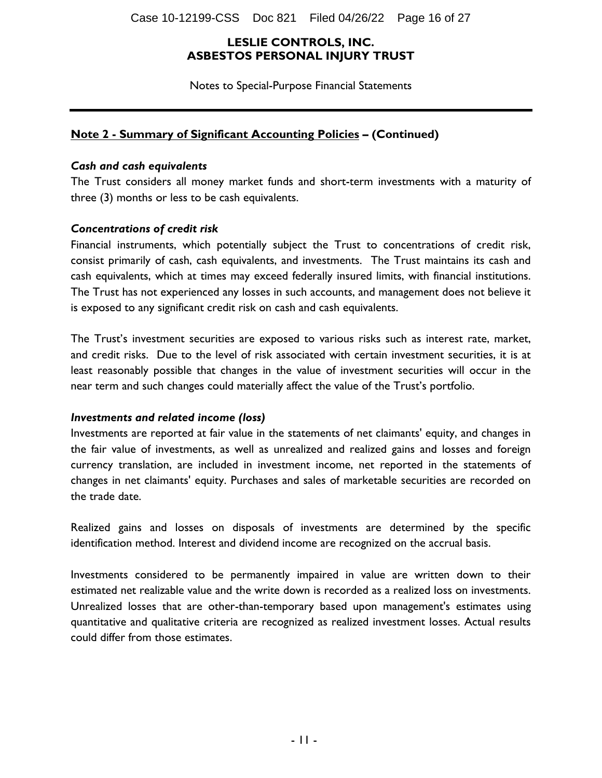Case 10-12199-CSS Doc 821 Filed 04/26/22 Page 16 of 27

#### **LESLIE CONTROLS, INC. ASBESTOS PERSONAL INJURY TRUST**

Notes to Special-Purpose Financial Statements

#### **Note 2 - Summary of Significant Accounting Policies – (Continued)**

#### *Cash and cash equivalents*

The Trust considers all money market funds and short-term investments with a maturity of three (3) months or less to be cash equivalents.

#### *Concentrations of credit risk*

Financial instruments, which potentially subject the Trust to concentrations of credit risk, consist primarily of cash, cash equivalents, and investments. The Trust maintains its cash and cash equivalents, which at times may exceed federally insured limits, with financial institutions. The Trust has not experienced any losses in such accounts, and management does not believe it is exposed to any significant credit risk on cash and cash equivalents.

The Trust's investment securities are exposed to various risks such as interest rate, market, and credit risks. Due to the level of risk associated with certain investment securities, it is at least reasonably possible that changes in the value of investment securities will occur in the near term and such changes could materially affect the value of the Trust's portfolio.

#### *Investments and related income (loss)*

Investments are reported at fair value in the statements of net claimants' equity, and changes in the fair value of investments, as well as unrealized and realized gains and losses and foreign currency translation, are included in investment income, net reported in the statements of changes in net claimants' equity. Purchases and sales of marketable securities are recorded on the trade date.

Realized gains and losses on disposals of investments are determined by the specific identification method. Interest and dividend income are recognized on the accrual basis.

Investments considered to be permanently impaired in value are written down to their estimated net realizable value and the write down is recorded as a realized loss on investments. Unrealized losses that are other-than-temporary based upon management's estimates using quantitative and qualitative criteria are recognized as realized investment losses. Actual results could differ from those estimates.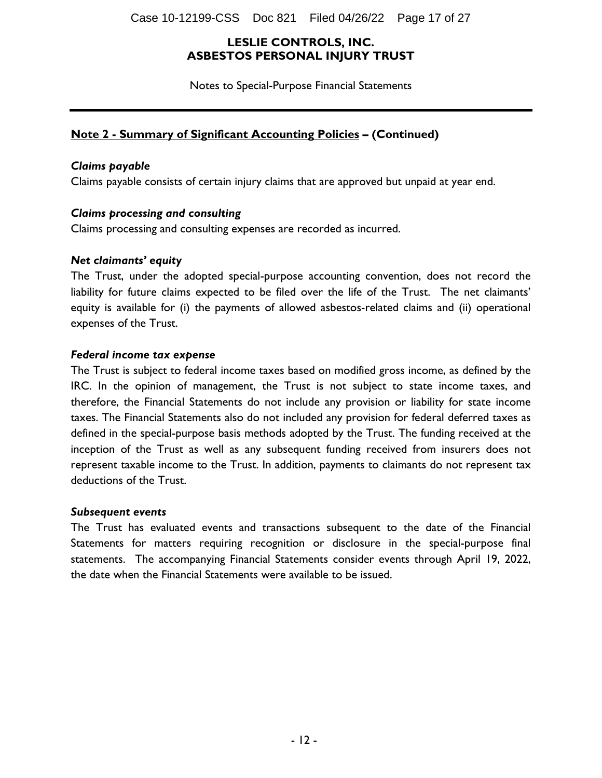Case 10-12199-CSS Doc 821 Filed 04/26/22 Page 17 of 27

#### **LESLIE CONTROLS, INC. ASBESTOS PERSONAL INJURY TRUST**

Notes to Special-Purpose Financial Statements

#### **Note 2 - Summary of Significant Accounting Policies – (Continued)**

#### *Claims payable*

Claims payable consists of certain injury claims that are approved but unpaid at year end.

#### *Claims processing and consulting*

Claims processing and consulting expenses are recorded as incurred.

#### *Net claimants' equity*

The Trust, under the adopted special-purpose accounting convention, does not record the liability for future claims expected to be filed over the life of the Trust. The net claimants' equity is available for (i) the payments of allowed asbestos-related claims and (ii) operational expenses of the Trust.

#### *Federal income tax expense*

The Trust is subject to federal income taxes based on modified gross income, as defined by the IRC. In the opinion of management, the Trust is not subject to state income taxes, and therefore, the Financial Statements do not include any provision or liability for state income taxes. The Financial Statements also do not included any provision for federal deferred taxes as defined in the special-purpose basis methods adopted by the Trust. The funding received at the inception of the Trust as well as any subsequent funding received from insurers does not represent taxable income to the Trust. In addition, payments to claimants do not represent tax deductions of the Trust.

#### *Subsequent events*

The Trust has evaluated events and transactions subsequent to the date of the Financial Statements for matters requiring recognition or disclosure in the special-purpose final statements. The accompanying Financial Statements consider events through April 19, 2022, the date when the Financial Statements were available to be issued.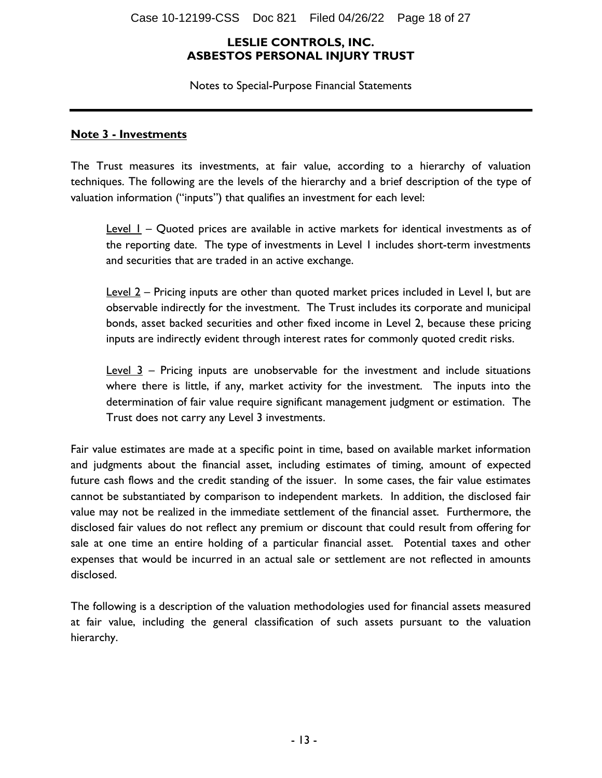Notes to Special-Purpose Financial Statements

#### **Note 3 - Investments**

The Trust measures its investments, at fair value, according to a hierarchy of valuation techniques. The following are the levels of the hierarchy and a brief description of the type of valuation information ("inputs") that qualifies an investment for each level:

**Level 1** – Quoted prices are available in active markets for identical investments as of the reporting date. The type of investments in Level 1 includes short-term investments and securities that are traded in an active exchange.

Level 2 – Pricing inputs are other than quoted market prices included in Level I, but are observable indirectly for the investment. The Trust includes its corporate and municipal bonds, asset backed securities and other fixed income in Level 2, because these pricing inputs are indirectly evident through interest rates for commonly quoted credit risks.

 $Level 3$  – Pricing inputs are unobservable for the investment and include situations where there is little, if any, market activity for the investment. The inputs into the determination of fair value require significant management judgment or estimation. The Trust does not carry any Level 3 investments.

Fair value estimates are made at a specific point in time, based on available market information and judgments about the financial asset, including estimates of timing, amount of expected future cash flows and the credit standing of the issuer. In some cases, the fair value estimates cannot be substantiated by comparison to independent markets. In addition, the disclosed fair value may not be realized in the immediate settlement of the financial asset. Furthermore, the disclosed fair values do not reflect any premium or discount that could result from offering for sale at one time an entire holding of a particular financial asset. Potential taxes and other expenses that would be incurred in an actual sale or settlement are not reflected in amounts disclosed.

The following is a description of the valuation methodologies used for financial assets measured at fair value, including the general classification of such assets pursuant to the valuation hierarchy.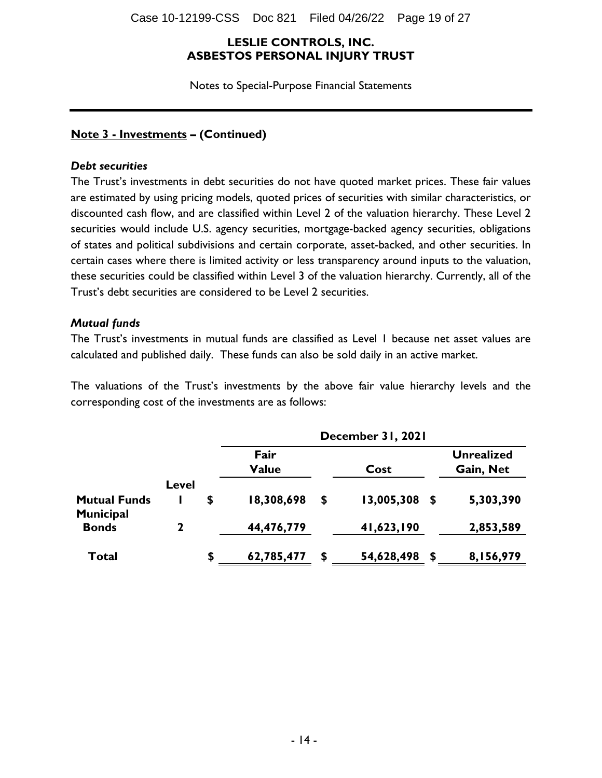Case 10-12199-CSS Doc 821 Filed 04/26/22 Page 19 of 27

#### **LESLIE CONTROLS, INC. ASBESTOS PERSONAL INJURY TRUST**

Notes to Special-Purpose Financial Statements

#### **Note 3 - Investments – (Continued)**

#### *Debt securities*

The Trust's investments in debt securities do not have quoted market prices. These fair values are estimated by using pricing models, quoted prices of securities with similar characteristics, or discounted cash flow, and are classified within Level 2 of the valuation hierarchy. These Level 2 securities would include U.S. agency securities, mortgage-backed agency securities, obligations of states and political subdivisions and certain corporate, asset-backed, and other securities. In certain cases where there is limited activity or less transparency around inputs to the valuation, these securities could be classified within Level 3 of the valuation hierarchy. Currently, all of the Trust's debt securities are considered to be Level 2 securities.

#### *Mutual funds*

The Trust's investments in mutual funds are classified as Level 1 because net asset values are calculated and published daily. These funds can also be sold daily in an active market.

The valuations of the Trust's investments by the above fair value hierarchy levels and the corresponding cost of the investments are as follows:

|                                         |              | December 31, 2021    |    |            |   |                                |  |  |
|-----------------------------------------|--------------|----------------------|----|------------|---|--------------------------------|--|--|
|                                         |              | Fair<br><b>Value</b> |    | Cost       |   | <b>Unrealized</b><br>Gain, Net |  |  |
|                                         | Level        |                      |    |            |   |                                |  |  |
| <b>Mutual Funds</b><br><b>Municipal</b> |              | \$<br>18,308,698     | \$ | 13,005,308 | S | 5,303,390                      |  |  |
| <b>Bonds</b>                            | $\mathbf{2}$ | 44,476,779           |    | 41,623,190 |   | 2,853,589                      |  |  |
| Total                                   |              | \$<br>62,785,477     | S  | 54,628,498 | S | 8,156,979                      |  |  |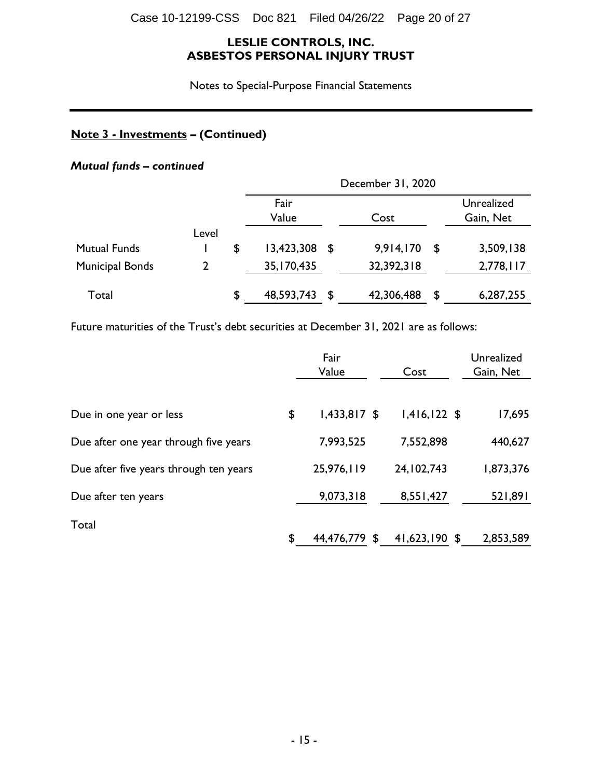Notes to Special-Purpose Financial Statements

## **Note 3 - Investments – (Continued)**

## *Mutual funds – continued*

|                        |       | December 31, 2020 |      |            |    |                         |  |
|------------------------|-------|-------------------|------|------------|----|-------------------------|--|
|                        |       | Fair<br>Value     |      | Cost       |    | Unrealized<br>Gain, Net |  |
|                        | Level |                   |      |            |    |                         |  |
| <b>Mutual Funds</b>    |       | \$<br>13,423,308  | - SS | 9,914,170  | \$ | 3,509,138               |  |
| <b>Municipal Bonds</b> |       | 35, 170, 435      |      | 32,392,318 |    | 2,778,117               |  |
| Total                  |       | \$<br>48,593,743  | \$   | 42,306,488 | S  | 6,287,255               |  |

Future maturities of the Trust's debt securities at December 31, 2021 are as follows:

|                                        | Fair<br>Value        | Cost           | Unrealized<br>Gain, Net |
|----------------------------------------|----------------------|----------------|-------------------------|
| Due in one year or less                | \$<br>$1,433,817$ \$ | $1,416,122$ \$ | 17,695                  |
| Due after one year through five years  | 7,993,525            | 7,552,898      | 440,627                 |
| Due after five years through ten years | 25,976,119           | 24, 102, 743   | 1,873,376               |
| Due after ten years                    | 9,073,318            | 8,551,427      | 521,891                 |
| Total                                  | \$<br>44,476,779 \$  | 41,623,190 \$  | 2,853,589               |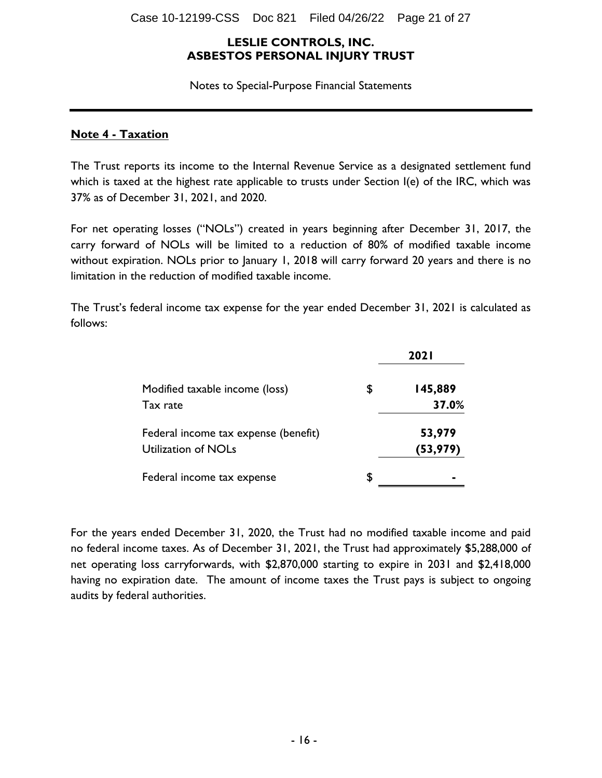Notes to Special-Purpose Financial Statements

#### **Note 4 - Taxation**

The Trust reports its income to the Internal Revenue Service as a designated settlement fund which is taxed at the highest rate applicable to trusts under Section I(e) of the IRC, which was 37% as of December 31, 2021, and 2020.

For net operating losses ("NOLs") created in years beginning after December 31, 2017, the carry forward of NOLs will be limited to a reduction of 80% of modified taxable income without expiration. NOLs prior to January 1, 2018 will carry forward 20 years and there is no limitation in the reduction of modified taxable income.

The Trust's federal income tax expense for the year ended December 31, 2021 is calculated as follows:

|                                                             | <b>2021</b>            |
|-------------------------------------------------------------|------------------------|
| Modified taxable income (loss)<br>Tax rate                  | \$<br>145,889<br>37.0% |
| Federal income tax expense (benefit)<br>Utilization of NOLs | 53,979<br>(53, 979)    |
| Federal income tax expense                                  | \$                     |

For the years ended December 31, 2020, the Trust had no modified taxable income and paid no federal income taxes. As of December 31, 2021, the Trust had approximately \$5,288,000 of net operating loss carryforwards, with \$2,870,000 starting to expire in 2031 and \$2,418,000 having no expiration date. The amount of income taxes the Trust pays is subject to ongoing audits by federal authorities.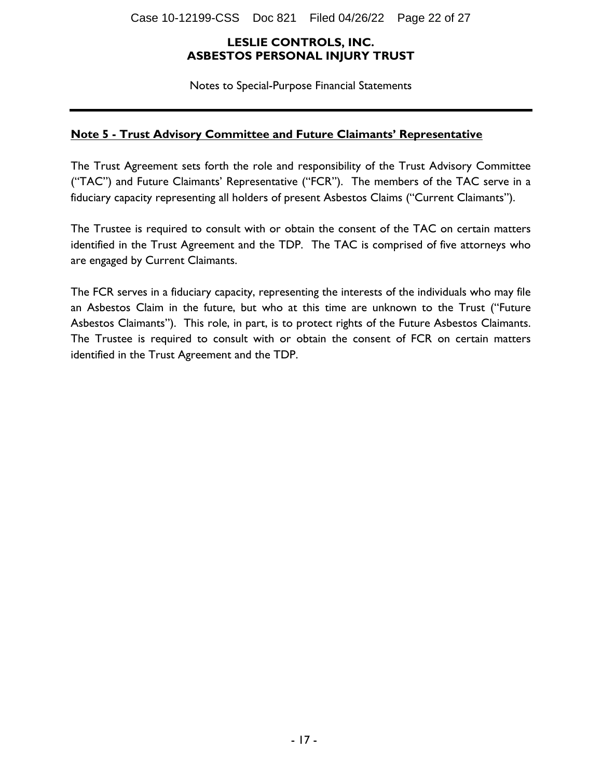Notes to Special-Purpose Financial Statements

## **Note 5 - Trust Advisory Committee and Future Claimants' Representative**

The Trust Agreement sets forth the role and responsibility of the Trust Advisory Committee ("TAC") and Future Claimants' Representative ("FCR"). The members of the TAC serve in a fiduciary capacity representing all holders of present Asbestos Claims ("Current Claimants").

The Trustee is required to consult with or obtain the consent of the TAC on certain matters identified in the Trust Agreement and the TDP. The TAC is comprised of five attorneys who are engaged by Current Claimants.

The FCR serves in a fiduciary capacity, representing the interests of the individuals who may file an Asbestos Claim in the future, but who at this time are unknown to the Trust ("Future Asbestos Claimants"). This role, in part, is to protect rights of the Future Asbestos Claimants. The Trustee is required to consult with or obtain the consent of FCR on certain matters identified in the Trust Agreement and the TDP.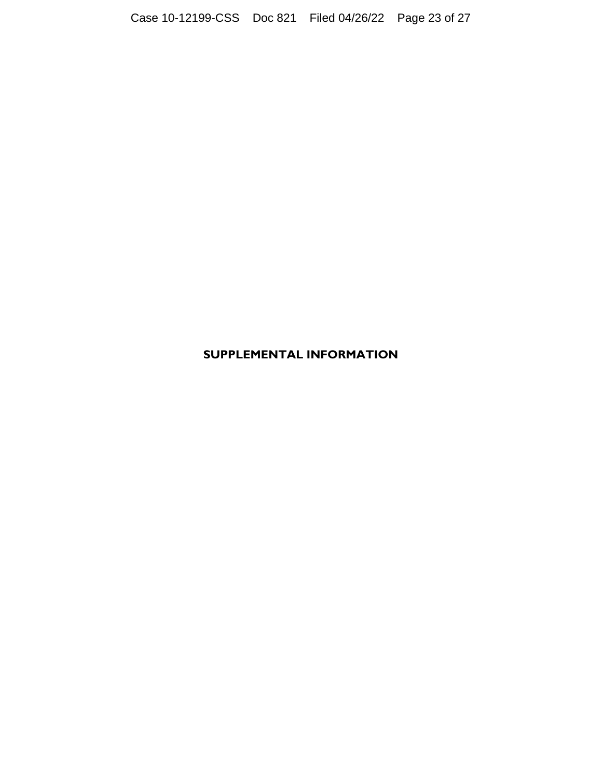## **SUPPLEMENTAL INFORMATION**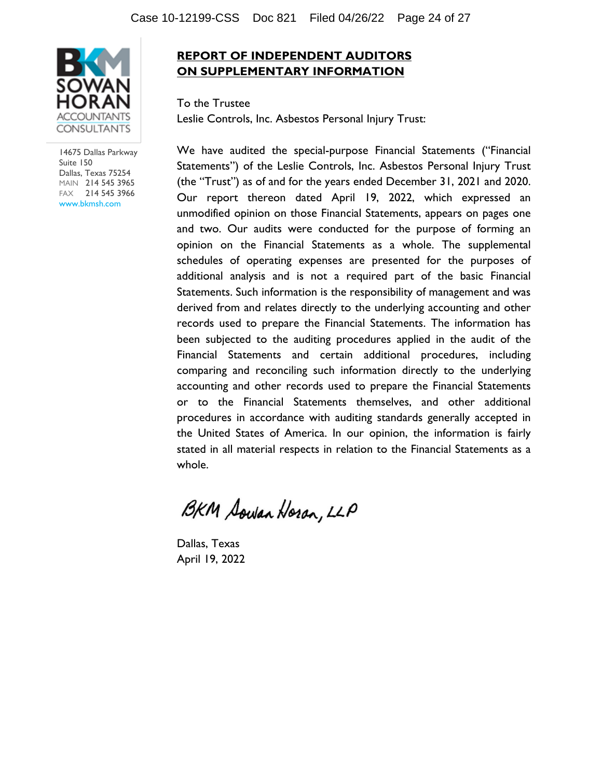

14675 Dallas Parkway Suite 150 Dallas, Texas 75254 MAIN 214 545 3965 FAX 214 545 3966 www.bkmsh.com

## **REPORT OF INDEPENDENT AUDITORS ON SUPPLEMENTARY INFORMATION**

To the Trustee Leslie Controls, Inc. Asbestos Personal Injury Trust:

We have audited the special-purpose Financial Statements ("Financial Statements") of the Leslie Controls, Inc. Asbestos Personal Injury Trust (the "Trust") as of and for the years ended December 31, 2021 and 2020. Our report thereon dated April 19, 2022, which expressed an unmodified opinion on those Financial Statements, appears on pages one and two. Our audits were conducted for the purpose of forming an opinion on the Financial Statements as a whole. The supplemental schedules of operating expenses are presented for the purposes of additional analysis and is not a required part of the basic Financial Statements. Such information is the responsibility of management and was derived from and relates directly to the underlying accounting and other records used to prepare the Financial Statements. The information has been subjected to the auditing procedures applied in the audit of the Financial Statements and certain additional procedures, including comparing and reconciling such information directly to the underlying accounting and other records used to prepare the Financial Statements or to the Financial Statements themselves, and other additional procedures in accordance with auditing standards generally accepted in the United States of America. In our opinion, the information is fairly stated in all material respects in relation to the Financial Statements as a whole.

BKM Sowan Horan, LLP

Dallas, Texas April 19, 2022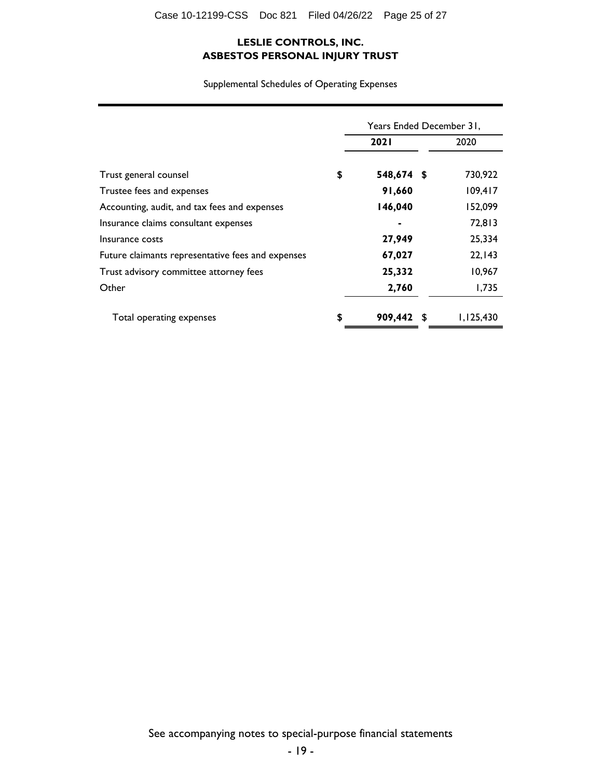Supplemental Schedules of Operating Expenses

|                                                   | Years Ended December 31, |             |      |           |
|---------------------------------------------------|--------------------------|-------------|------|-----------|
|                                                   |                          | <b>2021</b> | 2020 |           |
| Trust general counsel                             | \$                       | 548,674 \$  |      | 730,922   |
| Trustee fees and expenses                         |                          | 91,660      |      | 109,417   |
| Accounting, audit, and tax fees and expenses      |                          | 146,040     |      | 152,099   |
| Insurance claims consultant expenses              |                          |             |      | 72,813    |
| Insurance costs                                   |                          | 27,949      |      | 25,334    |
| Future claimants representative fees and expenses |                          | 67,027      |      | 22, 143   |
| Trust advisory committee attorney fees            |                          | 25,332      |      | 10,967    |
| Other                                             |                          | 2,760       |      | 1,735     |
| Total operating expenses                          | \$                       | 909,442 \$  |      | 1,125,430 |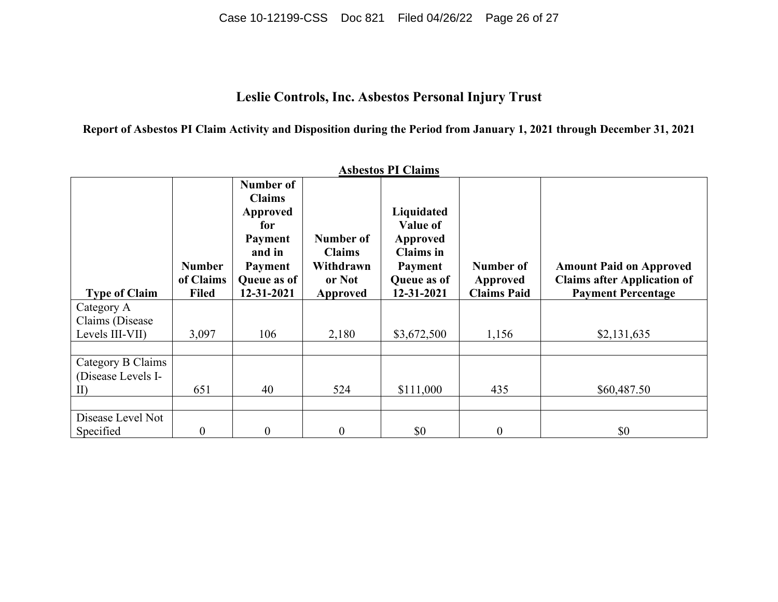Case 10-12199-CSS Doc 821 Filed 04/26/22 Page 26 of 27

# **Leslie Controls, Inc. Asbestos Personal Injury Trust**

**Report of Asbestos PI Claim Activity and Disposition during the Period from January 1, 2021 through December 31, 2021**

| <b>Asbestos PI Claims</b> |                            |                                                                                                            |                                                   |                                                                                         |                       |                                                                      |  |  |
|---------------------------|----------------------------|------------------------------------------------------------------------------------------------------------|---------------------------------------------------|-----------------------------------------------------------------------------------------|-----------------------|----------------------------------------------------------------------|--|--|
|                           | <b>Number</b><br>of Claims | Number of<br><b>Claims</b><br><b>Approved</b><br>for<br>Payment<br>and in<br><b>Payment</b><br>Queue as of | Number of<br><b>Claims</b><br>Withdrawn<br>or Not | Liquidated<br><b>Value of</b><br>Approved<br><b>Claims</b> in<br>Payment<br>Queue as of | Number of<br>Approved | <b>Amount Paid on Approved</b><br><b>Claims after Application of</b> |  |  |
| <b>Type of Claim</b>      | <b>Filed</b>               | 12-31-2021                                                                                                 | <b>Approved</b>                                   | 12-31-2021                                                                              | <b>Claims Paid</b>    | <b>Payment Percentage</b>                                            |  |  |
| Category A                |                            |                                                                                                            |                                                   |                                                                                         |                       |                                                                      |  |  |
| Claims (Disease)          |                            |                                                                                                            |                                                   |                                                                                         |                       |                                                                      |  |  |
| Levels III-VII)           | 3,097                      | 106                                                                                                        | 2,180                                             | \$3,672,500                                                                             | 1,156                 | \$2,131,635                                                          |  |  |
|                           |                            |                                                                                                            |                                                   |                                                                                         |                       |                                                                      |  |  |
| Category B Claims         |                            |                                                                                                            |                                                   |                                                                                         |                       |                                                                      |  |  |
| (Disease Levels I-        |                            |                                                                                                            |                                                   |                                                                                         |                       |                                                                      |  |  |
| $\prod$                   | 651                        | 40                                                                                                         | 524                                               | \$111,000                                                                               | 435                   | \$60,487.50                                                          |  |  |
|                           |                            |                                                                                                            |                                                   |                                                                                         |                       |                                                                      |  |  |
| Disease Level Not         |                            |                                                                                                            |                                                   |                                                                                         |                       |                                                                      |  |  |
| Specified                 | $\boldsymbol{0}$           | $\boldsymbol{0}$                                                                                           | $\mathbf{0}$                                      | \$0                                                                                     | $\boldsymbol{0}$      | \$0                                                                  |  |  |